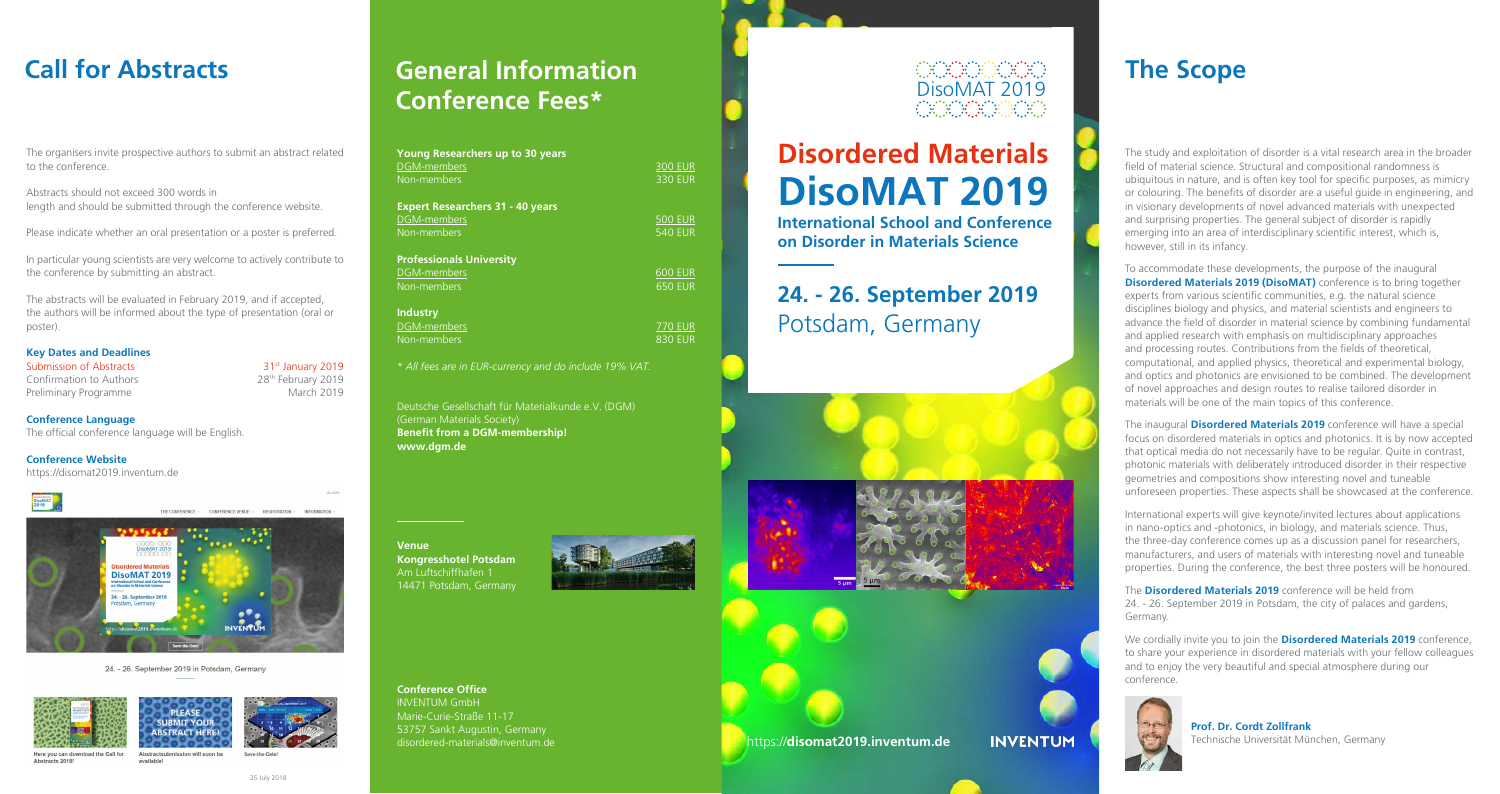The study and exploitation of disorder is a vital research area in the broader field of material science. Structural and compositional randomness is ubiquitous in nature, and is often key tool for specific purposes, as mimicry or colouring. The benefits of disorder are a useful guide in engineering, and in visionary developments of novel advanced materials with unexpected and surprising properties. The general subject of disorder is rapidly emerging into an area of interdisciplinary scientific interest, which is, however, still in its infancy.

To accommodate these developments, the purpose of the inaugural **Disordered Materials 2019 (DisoMAT)** conference is to bring together experts from various scientific communities, e.g. the natural science disciplines biology and physics, and material scientists and engineers to advance the field of disorder in material science by combining fundamental and applied research with emphasis on multidisciplinary approaches and processing routes. Contributions from the fields of theoretical, computational, and applied physics, theoretical and experimental biology, and optics and photonics are envisioned to be combined. The development of novel approaches and design routes to realise tailored disorder in materials will be one of the main topics of this conference.

**Key Dates and Deadlines** Submission of Abstracts 31st January 2019 Confirmation to Authors 28<sup>th</sup> February 2019 Preliminary Programme March 2019

**INFORMATION** 

The inaugural **Disordered Materials 2019** conference will have a special focus on disordered materials in optics and photonics. It is by now accepted that optical media do not necessarily have to be regular. Quite in contrast, photonic materials with deliberately introduced disorder in their respective geometries and compositions show interesting novel and tuneable unforeseen properties. These aspects shall be showcased at the conference.

# **Call for Abstracts The Scope General Information Conference Fees\***

International experts will give keynote/invited lectures about applications in nano-optics and -photonics, in biology, and materials science. Thus, the three-day conference comes up as a discussion panel for researchers, manufacturers, and users of materials with interesting novel and tuneable properties. During the conference, the best three posters will be honoured.

The **Disordered Materials 2019** conference will be held from 24. - 26. September 2019 in Potsdam, the city of palaces and gardens,

Germany.

We cordially invite you to join the **Disordered Materials 2019** conference, to share your experience in disordered materials with your fellow colleagues and to enjoy the very beautiful and special atmosphere during our conference.



# **Prof. Dr. Cordt Zollfrank**

Technische Universität München, Germany

The organisers invite prospective authors to submit an abstract related to the conference.

Abstracts should not exceed 300 words in length and should be submitted through the conference website.

Please indicate whether an oral presentation or a poster is preferred.

In particular young scientists are very welcome to actively contribute to the conference by submitting an abstract.

The abstracts will be evaluated in February 2019, and if accepted, the authors will be informed about the type of presentation (oral or poster).

**Conference Language** The official conference language will be English.

**Conference Website** [https://disomat2019.inventum.de](https://disomat2019.inventum.de/)



DisoMAT 2019 1. - 26. September 2019 **INVENTUR** 

THE CONFERENCE > CONFERENCE VENUE > REGISTRATION >

### 24. - 26. September 2019 in Potsdam, Germany



### 25 July 2018

| <b>Young Researchers up to 30 years</b> |                |
|-----------------------------------------|----------------|
| DGM-members                             | <b>300 EUR</b> |
| Non-members                             | <b>330 EUR</b> |
| <b>Expert Researchers 31 - 40 years</b> |                |
| DGM-members                             | <b>500 EUR</b> |
| Non-members                             | <b>540 EUR</b> |
| <b>Professionals University</b>         |                |
| DGM-members                             | <b>600 EUR</b> |
| Non-members                             | <b>650 EUR</b> |
| <b>Industry</b>                         |                |
| DGM-members                             | <b>770 EUR</b> |
| Non-members                             | <b>830 EUR</b> |
|                                         |                |

\* *All fees are in EUR-currency and do include 19% VAT.*

Deutsche Gesellschaft für Materialkunde e.V. (DGM) (German Materials Society) **Benefit from a DGM-membership! [www.dgm.de](www.dgm.de
)**

**Venue Kongresshotel Potsdam**  Am Luftschiffhafen 1 14471 Potsdam, Germany



**Conference Office** INVENTUM GmbH Marie-Curie-Straße 11-17 53757 Sankt Augustin, Germany [disordered-materials@inventum.de](mailto:disordered-materials%40inventum.de?subject=)

# DisoMAT 2019

# **Disordered Materials DisoMAT 2019**

**International School and Conference on Disorder in Materials Science**

# **24. - 26. September 2019** Potsdam, Germany





https://**[disomat2019.inventum.de](https://disomat2019.inventum.de)**